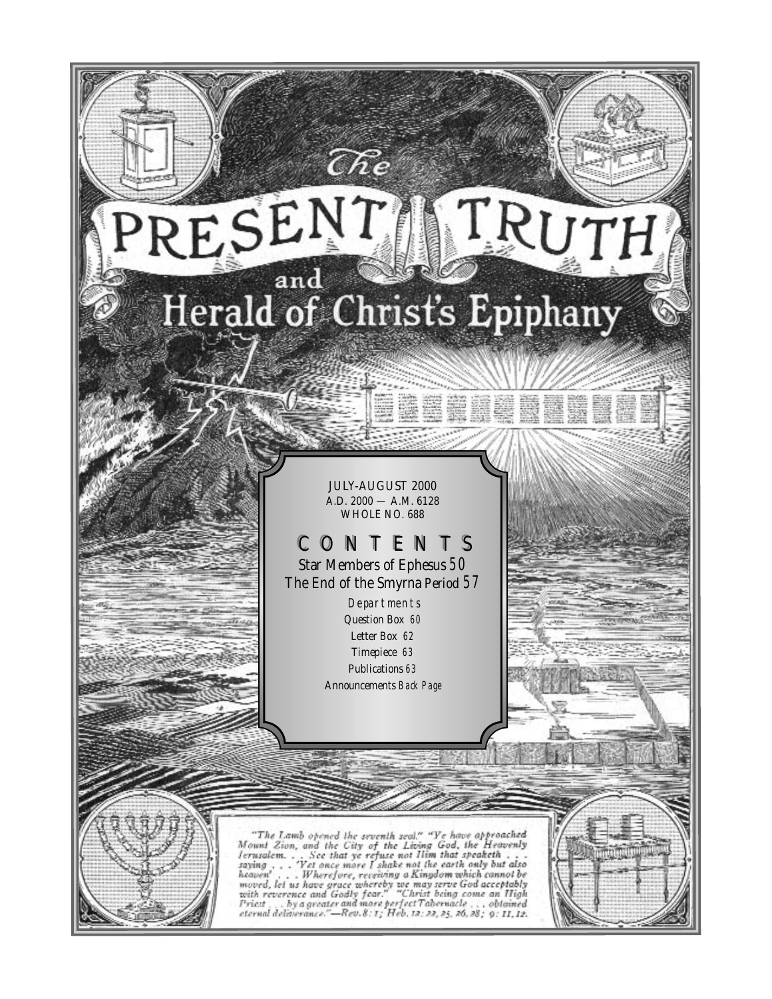

JULY-AUGUST 2000 A.D. 2000 — A.M. 6128 WHOLE NO. 688

# CONTENTS

Star Members of Ephesus *50* The End of the Smyrna Period *57*

> **Departments** Question Box *60* Letter Box *62* Timepiece *63* Publications *63* Announcements *Back Page*

"The Lamb opened the seventh seat." "Ye have approached<br>Mount Zion, and the City of the Living God, the Heavenly<br>Jerusalem... See that ye refuse not Him that speaketh...<br>saying... 'Yet once more I shake not the earth only saying . . . Forefore, receiving a Kingdom which cannot be<br>noved, let us have grace whereby we may serve God acceptably<br>with reverence and Godly fear." "Christ being come an High<br>Priest . . by a greater and more perfect Ta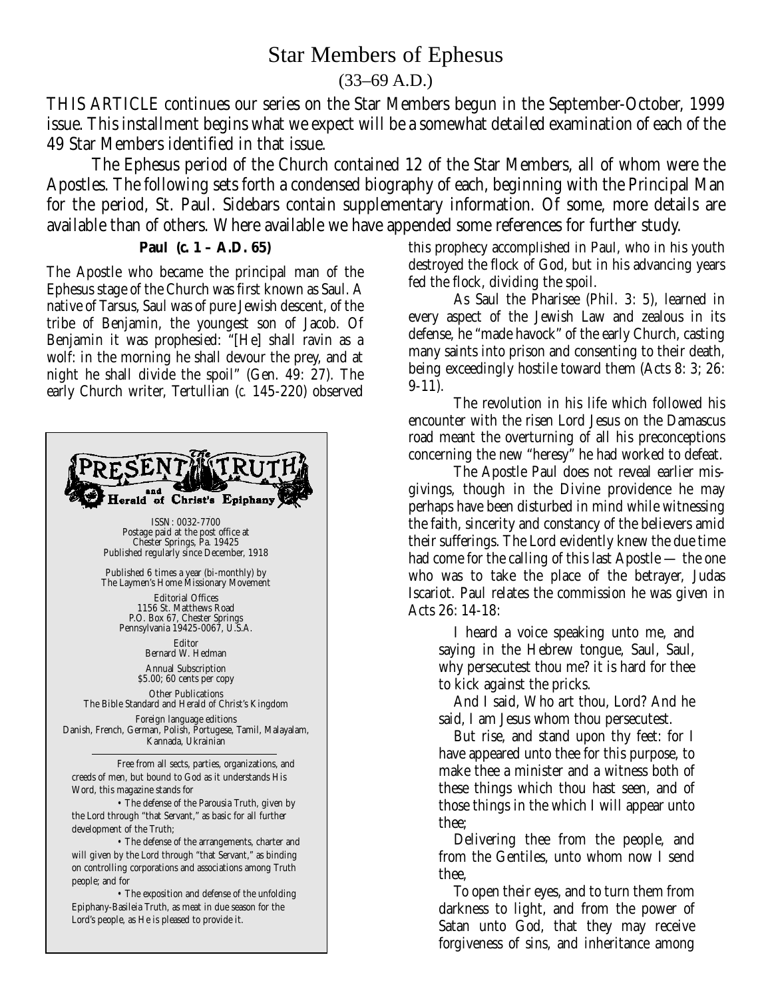# Star Members of Ephesus

## (33–69 A.D.)

THIS ARTICLE continues our series on the Star Members begun in the September-October, 1999 issue. This installment begins what we expect will be a somewhat detailed examination of each of the 49 Star Members identified in that issue.

The Ephesus period of the Church contained 12 of the Star Members, all of whom were the Apostles. The following sets forth a condensed biography of each, beginning with the Principal Man for the period, St. Paul. Sidebars contain supplementary information. Of some, more details are available than of others. Where available we have appended some references for further study.

## **Paul (***c.* **1 – A.D. 65)**

The Apostle who became the principal man of the Ephesus stage of the Church was first known as Saul. A native of Tarsus, Saul was of pure Jewish descent, of the tribe of Benjamin, the youngest son of Jacob. Of Benjamin it was prophesied: "[He] shall ravin as a wolf: in the morning he shall devour the prey, and at night he shall divide the spoil" (Gen. 49: 27). The early Church writer, Tertullian (*c.* 145-220) observed



this prophecy accomplished in Paul, who in his youth destroyed the flock of God, but in his advancing years fed the flock, dividing the spoil.

As Saul the Pharisee (Phil. 3: 5), learned in every aspect of the Jewish Law and zealous in its defense, he "made havock" of the early Church, casting many saints into prison and consenting to their death, being exceedingly hostile toward them (Acts 8: 3; 26: 9-11).

The revolution in his life which followed his encounter with the risen Lord Jesus on the Damascus road meant the overturning of all his preconceptions concerning the new "heresy" he had worked to defeat.

The Apostle Paul does not reveal earlier misgivings, though in the Divine providence he may perhaps have been disturbed in mind while witnessing the faith, sincerity and constancy of the believers amid their sufferings. The Lord evidently knew the due time had come for the calling of this last Apostle — the one who was to take the place of the betrayer, Judas Iscariot. Paul relates the commission he was given in Acts 26: 14-18:

I heard a voice speaking unto me, and saying in the Hebrew tongue, Saul, Saul, why persecutest thou me? it is hard for thee to kick against the pricks.

And I said, Who art thou, Lord? And he said, I am Jesus whom thou persecutest.

But rise, and stand upon thy feet: for I have appeared unto thee for this purpose, to make thee a minister and a witness both of these things which thou hast seen, and of those things in the which I will appear unto thee;

Delivering thee from the people, and from the Gentiles, unto whom now I send thee,

To open their eyes, and to turn them from darkness to light, and from the power of Satan unto God, that they may receive forgiveness of sins, and inheritance among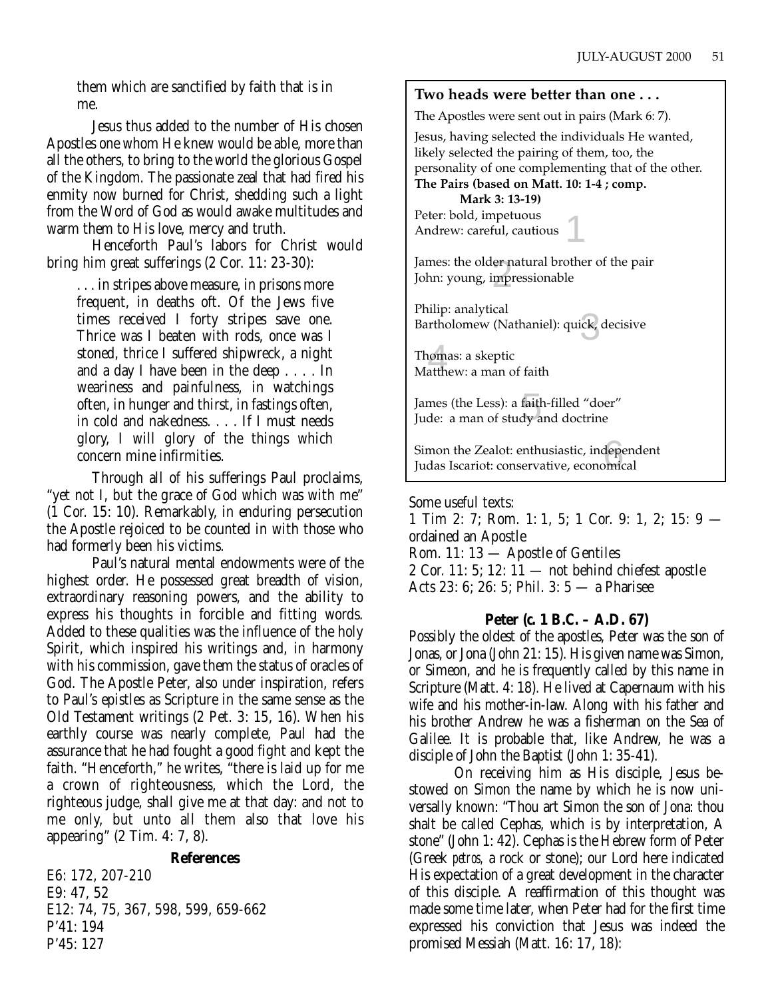them which are sanctified by faith that is in me.

Jesus thus added to the number of His chosen Apostles one whom He knew would be able, more than all the others, to bring to the world the glorious Gospel of the Kingdom. The passionate zeal that had fired his enmity now burned for Christ, shedding such a light from the Word of God as would awake multitudes and warm them to His love, mercy and truth.

Henceforth Paul's labors for Christ would bring him great sufferings (2 Cor. 11: 23-30):

. . . in stripes above measure, in prisons more frequent, in deaths oft. Of the Jews five times received I forty stripes save one. Thrice was I beaten with rods, once was I stoned, thrice I suffered shipwreck, a night and a day I have been in the deep . . . . In weariness and painfulness, in watchings often, in hunger and thirst, in fastings often, in cold and nakedness. . . . If I must needs glory, I will glory of the things which concern mine infirmities.

Through all of his sufferings Paul proclaims, "yet not I, but the grace of God which was with me" (1 Cor. 15: 10). Remarkably, in enduring persecution the Apostle rejoiced to be counted in with those who had formerly been his victims.

Paul's natural mental endowments were of the highest order. He possessed great breadth of vision, extraordinary reasoning powers, and the ability to express his thoughts in forcible and fitting words. Added to these qualities was the influence of the holy Spirit, which inspired his writings and, in harmony with his commission, gave them the status of oracles of God. The Apostle Peter, also under inspiration, refers to Paul's epistles as Scripture in the same sense as the Old Testament writings (2 Pet. 3: 15, 16). When his earthly course was nearly complete, Paul had the assurance that he had fought a good fight and kept the faith. "Henceforth," he writes, "there is laid up for me a crown of righteousness, which the Lord, the righteous judge, shall give me at that day: and not to me only, but unto all them also that love his appearing" (2 Tim. 4: 7, 8).

#### **References**

E6: 172, 207-210 E9: 47, 52 E12: 74, 75, 367, 598, 599, 659-662 P'41: 194 P'45: 127

# **Two heads were better than one . . .** The Apostles were sent out in pairs (Mark 6:7).

Jesus, having selected the individuals He wanted, likely selected the pairing of them, too, the personality of one complementing that of the other. **The Pairs (based on Matt. 10: 1-4 ; comp.**

1 **Mark 3: 13-19)** Peter: bold, impetuous Andrew: careful, cautious

James: the older natural brot<br>John: young, impressionable James: the older natural brother of the pair

 $ick$ Philip: analytical Bartholomew (Nathaniel): quick, decisive

iom<br>atth Thomas:a skeptic Matthew:a man of faith

James (the Less): a faith-filled "doe<br>Jude: a man of study and doctrine James (the Less): a faith-filled "doer"

6 Simon the Zealot: enthusiastic, independent Judas Iscariot: conservative, economical

Some useful texts:

1 Tim 2: 7; Rom. 1: 1, 5; 1 Cor. 9: 1, 2; 15: 9 ordained an Apostle Rom. 11: 13 — Apostle of Gentiles 2 Cor. 11: 5; 12:  $11 -$  not behind chiefest apostle Acts 23: 6; 26: 5; Phil. 3: 5 — a Pharisee

## **Peter (***c.* **1 B.C. – A.D. 67)**

Possibly the oldest of the apostles, Peter was the son of Jonas, or Jona (John 21: 15). His given name was Simon, or Simeon, and he is frequently called by this name in Scripture (Matt. 4: 18). He lived at Capernaum with his wife and his mother-in-law. Along with his father and his brother Andrew he was a fisherman on the Sea of Galilee. It is probable that, like Andrew, he was a disciple of John the Baptist (John 1: 35-41).

On receiving him as His disciple, Jesus bestowed on Simon the name by which he is now universally known: "Thou art Simon the son of Jona: thou shalt be called Cephas, which is by interpretation, A stone" (John 1: 42). Cephas is the Hebrew form of Peter (Greek *petros,* a rock or stone); our Lord here indicated His expectation of a great development in the character of this disciple. A reaffirmation of this thought was made some time later, when Peter had for the first time expressed his conviction that Jesus was indeed the promised Messiah (Matt. 16: 17, 18):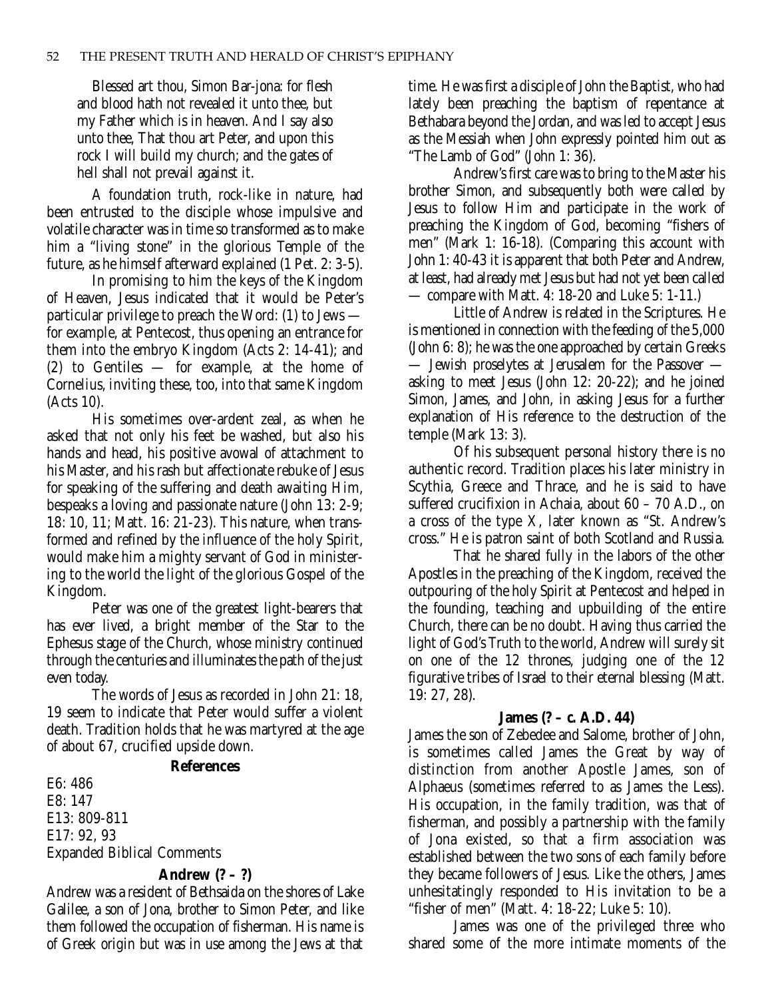Blessed art thou, Simon Bar-jona: for flesh and blood hath not revealed it unto thee, but my Father which is in heaven. And I say also unto thee, That thou art Peter, and upon this rock I will build my church; and the gates of hell shall not prevail against it.

A foundation truth, rock-like in nature, had been entrusted to the disciple whose impulsive and volatile character was in time so transformed as to make him a "living stone" in the glorious Temple of the future, as he himself afterward explained (1 Pet. 2: 3-5).

In promising to him the keys of the Kingdom of Heaven, Jesus indicated that it would be Peter's particular privilege to preach the Word: (1) to Jews for example, at Pentecost, thus opening an entrance for them into the embryo Kingdom (Acts 2: 14-41); and (2) to Gentiles — for example, at the home of Cornelius, inviting these, too, into that same Kingdom (Acts 10).

His sometimes over-ardent zeal, as when he asked that not only his feet be washed, but also his hands and head, his positive avowal of attachment to his Master, and his rash but affectionate rebuke of Jesus for speaking of the suffering and death awaiting Him, bespeaks a loving and passionate nature (John 13: 2-9; 18: 10, 11; Matt. 16: 21-23). This nature, when transformed and refined by the influence of the holy Spirit, would make him a mighty servant of God in ministering to the world the light of the glorious Gospel of the Kingdom.

Peter was one of the greatest light-bearers that has ever lived, a bright member of the Star to the Ephesus stage of the Church, whose ministry continued through the centuries and illuminates the path of the just even today.

The words of Jesus as recorded in John 21: 18, 19 seem to indicate that Peter would suffer a violent death. Tradition holds that he was martyred at the age of about 67, crucified upside down.

## **References**

E6: 486 E8: 147 E13: 809-811 E17: 92, 93 Expanded Biblical Comments

## **Andrew (? – ?)**

Andrew was a resident of Bethsaida on the shores of Lake Galilee, a son of Jona, brother to Simon Peter, and like them followed the occupation of fisherman. His name is of Greek origin but was in use among the Jews at that time. He was first a disciple of John the Baptist, who had lately been preaching the baptism of repentance at Bethabara beyond the Jordan, and was led to accept Jesus as the Messiah when John expressly pointed him out as "The Lamb of God" (John 1: 36).

Andrew's first care was to bring to the Master his brother Simon, and subsequently both were called by Jesus to follow Him and participate in the work of preaching the Kingdom of God, becoming "fishers of men" (Mark 1: 16-18). (Comparing this account with John 1: 40-43 it is apparent that both Peter and Andrew, at least, had already met Jesus but had not yet been called — compare with Matt. 4: 18-20 and Luke 5: 1-11.)

Little of Andrew is related in the Scriptures. He is mentioned in connection with the feeding of the 5,000 (John 6: 8); he was the one approached by certain Greeks — Jewish proselytes at Jerusalem for the Passover asking to meet Jesus (John 12: 20-22); and he joined Simon, James, and John, in asking Jesus for a further explanation of His reference to the destruction of the temple (Mark 13: 3).

Of his subsequent personal history there is no authentic record. Tradition places his later ministry in Scythia, Greece and Thrace, and he is said to have suffered crucifixion in Achaia, about 60 – 70 A.D., on a cross of the type X, later known as "St. Andrew's cross." He is patron saint of both Scotland and Russia.

That he shared fully in the labors of the other Apostles in the preaching of the Kingdom, received the outpouring of the holy Spirit at Pentecost and helped in the founding, teaching and upbuilding of the entire Church, there can be no doubt. Having thus carried the light of God's Truth to the world, Andrew will surely sit on one of the 12 thrones, judging one of the 12 figurative tribes of Israel to their eternal blessing (Matt. 19: 27, 28).

## **James (? –** *c.* **A.D. 44)**

James the son of Zebedee and Salome, brother of John, is sometimes called James the Great by way of distinction from another Apostle James, son of Alphaeus (sometimes referred to as James the Less). His occupation, in the family tradition, was that of fisherman, and possibly a partnership with the family of Jona existed, so that a firm association was established between the two sons of each family before they became followers of Jesus. Like the others, James unhesitatingly responded to His invitation to be a "fisher of men" (Matt. 4: 18-22; Luke 5: 10).

James was one of the privileged three who shared some of the more intimate moments of the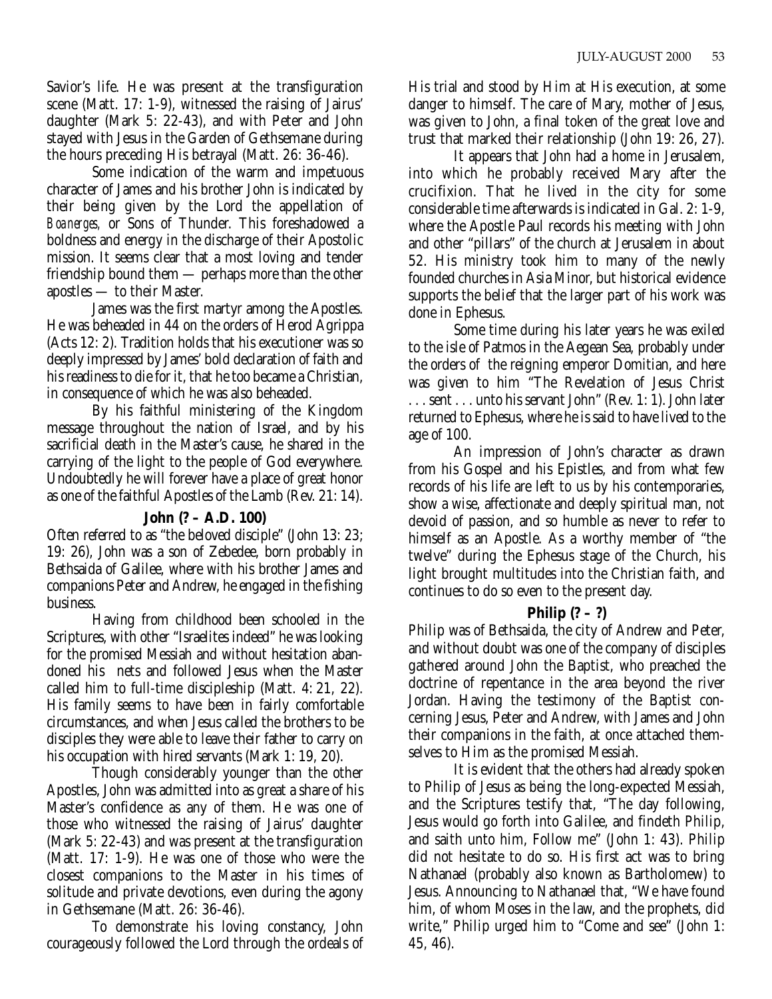Savior's life. He was present at the transfiguration scene (Matt. 17: 1-9), witnessed the raising of Jairus' daughter (Mark 5: 22-43), and with Peter and John stayed with Jesus in the Garden of Gethsemane during the hours preceding His betrayal (Matt. 26: 36-46).

Some indication of the warm and impetuous character of James and his brother John is indicated by their being given by the Lord the appellation of *Boanerges,* or Sons of Thunder. This foreshadowed a boldness and energy in the discharge of their Apostolic mission. It seems clear that a most loving and tender friendship bound them — perhaps more than the other apostles — to their Master.

James was the first martyr among the Apostles. He was beheaded in 44 on the orders of Herod Agrippa (Acts 12: 2). Tradition holds that his executioner was so deeply impressed by James' bold declaration of faith and his readiness to die for it, that he too became a Christian, in consequence of which he was also beheaded.

By his faithful ministering of the Kingdom message throughout the nation of Israel, and by his sacrificial death in the Master's cause, he shared in the carrying of the light to the people of God everywhere. Undoubtedly he will forever have a place of great honor as one of the faithful Apostles of the Lamb (Rev. 21: 14).

## **John (? – A.D. 100)**

Often referred to as "the beloved disciple" (John 13: 23; 19: 26), John was a son of Zebedee, born probably in Bethsaida of Galilee, where with his brother James and companions Peter and Andrew, he engaged in the fishing business.

Having from childhood been schooled in the Scriptures, with other "Israelites indeed" he was looking for the promised Messiah and without hesitation abandoned his nets and followed Jesus when the Master called him to full-time discipleship (Matt. 4: 21, 22). His family seems to have been in fairly comfortable circumstances, and when Jesus called the brothers to be disciples they were able to leave their father to carry on his occupation with hired servants (Mark 1: 19, 20).

Though considerably younger than the other Apostles, John was admitted into as great a share of his Master's confidence as any of them. He was one of those who witnessed the raising of Jairus' daughter (Mark 5: 22-43) and was present at the transfiguration (Matt. 17: 1-9). He was one of those who were the closest companions to the Master in his times of solitude and private devotions, even during the agony in Gethsemane (Matt. 26: 36-46).

To demonstrate his loving constancy, John courageously followed the Lord through the ordeals of His trial and stood by Him at His execution, at some danger to himself. The care of Mary, mother of Jesus, was given to John, a final token of the great love and trust that marked their relationship (John 19: 26, 27).

It appears that John had a home in Jerusalem, into which he probably received Mary after the crucifixion. That he lived in the city for some considerable time afterwards is indicated in Gal. 2: 1-9, where the Apostle Paul records his meeting with John and other "pillars" of the church at Jerusalem in about 52. His ministry took him to many of the newly founded churches in Asia Minor, but historical evidence supports the belief that the larger part of his work was done in Ephesus.

Some time during his later years he was exiled to the isle of Patmos in the Aegean Sea, probably under the orders of the reigning emperor Domitian, and here was given to him "The Revelation of Jesus Christ . . . sent . . . unto his servant John" (Rev. 1: 1). John later returned to Ephesus, where he is said to have lived to the age of 100.

An impression of John's character as drawn from his Gospel and his Epistles, and from what few records of his life are left to us by his contemporaries, show a wise, affectionate and deeply spiritual man, not devoid of passion, and so humble as never to refer to himself as an Apostle. As a worthy member of "the twelve" during the Ephesus stage of the Church, his light brought multitudes into the Christian faith, and continues to do so even to the present day.

## **Philip (? – ?)**

Philip was of Bethsaida, the city of Andrew and Peter, and without doubt was one of the company of disciples gathered around John the Baptist, who preached the doctrine of repentance in the area beyond the river Jordan. Having the testimony of the Baptist concerning Jesus, Peter and Andrew, with James and John their companions in the faith, at once attached themselves to Him as the promised Messiah.

It is evident that the others had already spoken to Philip of Jesus as being the long-expected Messiah, and the Scriptures testify that, "The day following, Jesus would go forth into Galilee, and findeth Philip, and saith unto him, Follow me" (John 1: 43). Philip did not hesitate to do so. His first act was to bring Nathanael (probably also known as Bartholomew) to Jesus. Announcing to Nathanael that, "We have found him, of whom Moses in the law, and the prophets, did write," Philip urged him to "Come and see" (John 1: 45, 46).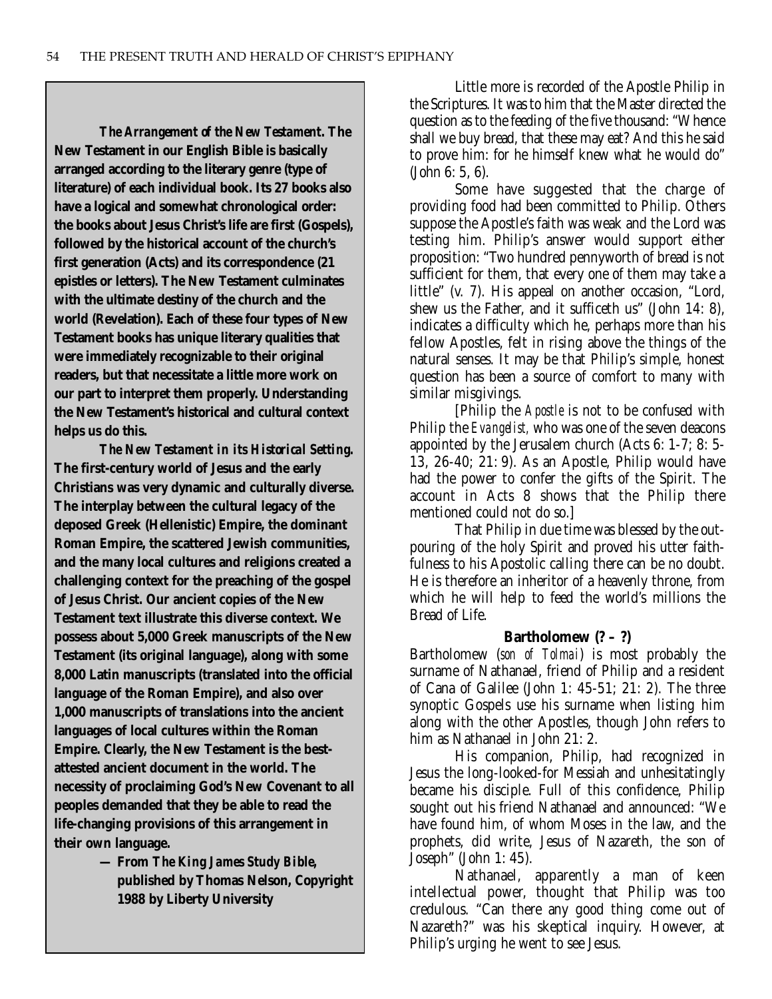*The Arrangement of the New Testament***. The New Testament in our English Bible is basically arranged according to the literary genre (type of literature) of each individual book. Its 27 books also have a logical and somewhat chronological order: the books about Jesus Christ's life are first (Gospels), followed by the historical account of the church's first generation (Acts) and its correspondence (21 epistles or letters). The New Testament culminates with the ultimate destiny of the church and the world (Revelation). Each of these four types of New Testament books has unique literary qualities that were immediately recognizable to their original readers, but that necessitate a little more work on our part to interpret them properly. Understanding the New Testament's historical and cultural context helps us do this.**

*The New Testament in its Historical Setting.* **The first-century world of Jesus and the early Christians was very dynamic and culturally diverse. The interplay between the cultural legacy of the deposed Greek (Hellenistic) Empire, the dominant Roman Empire, the scattered Jewish communities, and the many local cultures and religions created a challenging context for the preaching of the gospel of Jesus Christ. Our ancient copies of the New Testament text illustrate this diverse context. We possess about 5,000 Greek manuscripts of the New Testament (its original language), along with some 8,000 Latin manuscripts (translated into the official language of the Roman Empire), and also over 1,000 manuscripts of translations into the ancient languages of local cultures within the Roman Empire. Clearly, the New Testament is the bestattested ancient document in the world. The necessity of proclaiming God's New Covenant to all peoples demanded that they be able to read the life-changing provisions of this arrangement in their own language.**

> **— From** *The King James Study Bible,* **published by Thomas Nelson, Copyright 1988 by Liberty University**

Little more is recorded of the Apostle Philip in the Scriptures. It was to him that the Master directed the question as to the feeding of the five thousand: "Whence shall we buy bread, that these may eat? And this he said to prove him: for he himself knew what he would do" (John 6: 5, 6).

Some have suggested that the charge of providing food had been committed to Philip. Others suppose the Apostle's faith was weak and the Lord was testing him. Philip's answer would support either proposition: "Two hundred pennyworth of bread is not sufficient for them, that every one of them may take a little" (v. 7). His appeal on another occasion, "Lord, shew us the Father, and it sufficeth us" (John 14: 8), indicates a difficulty which he, perhaps more than his fellow Apostles, felt in rising above the things of the natural senses. It may be that Philip's simple, honest question has been a source of comfort to many with similar misgivings.

[Philip the *Apostle* is not to be confused with Philip the *Evangelist,* who was one of the seven deacons appointed by the Jerusalem church (Acts 6: 1-7; 8: 5- 13, 26-40; 21: 9). As an Apostle, Philip would have had the power to confer the gifts of the Spirit. The account in Acts 8 shows that the Philip there mentioned could not do so.]

That Philip in due time was blessed by the outpouring of the holy Spirit and proved his utter faithfulness to his Apostolic calling there can be no doubt. He is therefore an inheritor of a heavenly throne, from which he will help to feed the world's millions the Bread of Life.

## **Bartholomew (? – ?)**

Bartholomew (*son of Tolmai*) is most probably the surname of Nathanael, friend of Philip and a resident of Cana of Galilee (John 1: 45-51; 21: 2). The three synoptic Gospels use his surname when listing him along with the other Apostles, though John refers to him as Nathanael in John 21: 2.

His companion, Philip, had recognized in Jesus the long-looked-for Messiah and unhesitatingly became his disciple. Full of this confidence, Philip sought out his friend Nathanael and announced: "We have found him, of whom Moses in the law, and the prophets, did write, Jesus of Nazareth, the son of Joseph" (John 1: 45).

Nathanael, apparently a man of keen intellectual power, thought that Philip was too credulous. "Can there any good thing come out of Nazareth?" was his skeptical inquiry. However, at Philip's urging he went to see Jesus.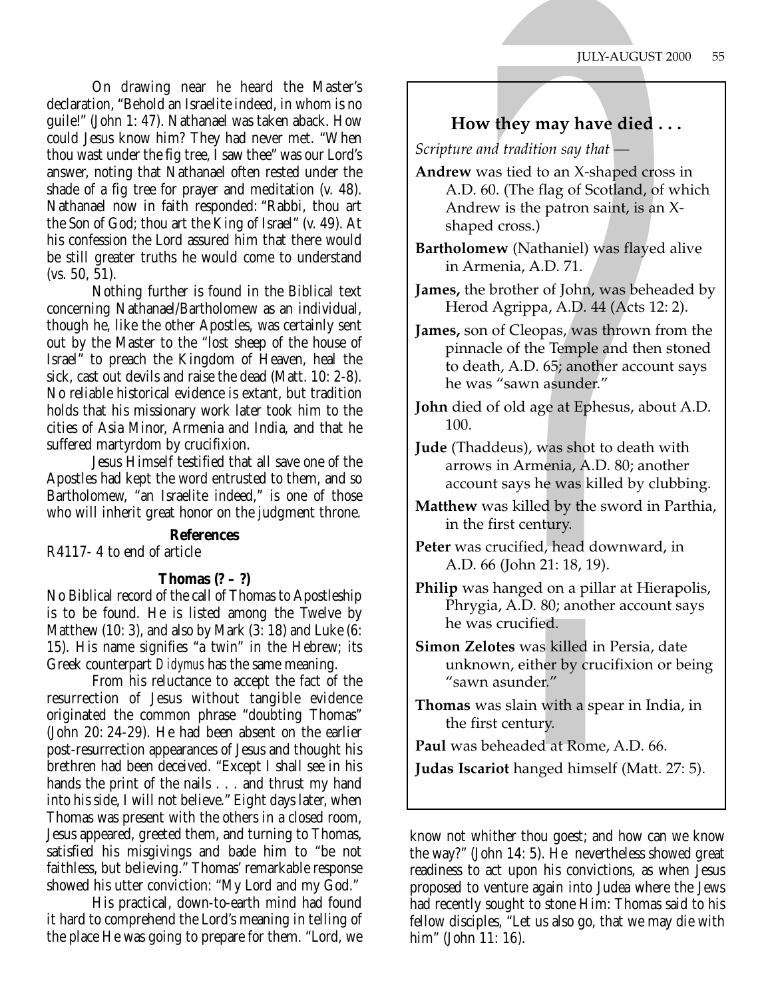On drawing near he heard the Master's declaration, "Behold an Israelite indeed, in whom is no guile!" (John 1: 47). Nathanael was taken aback. How could Jesus know him? They had never met. "When thou wast under the fig tree, I saw thee" was our Lord's answer, noting that Nathanael often rested under the shade of a fig tree for prayer and meditation (v. 48). Nathanael now in faith responded: "Rabbi, thou art the Son of God; thou art the King of Israel" (v. 49). At his confession the Lord assured him that there would be still greater truths he would come to understand (vs. 50, 51).

Nothing further is found in the Biblical text concerning Nathanael/Bartholomew as an individual, though he, like the other Apostles, was certainly sent out by the Master to the "lost sheep of the house of Israel" to preach the Kingdom of Heaven, heal the sick, cast out devils and raise the dead (Matt. 10: 2-8). No reliable historical evidence is extant, but tradition holds that his missionary work later took him to the cities of Asia Minor, Armenia and India, and that he suffered martyrdom by crucifixion.

Jesus Himself testified that all save one of the Apostles had kept the word entrusted to them, and so Bartholomew, "an Israelite indeed," is one of those who will inherit great honor on the judgment throne.

## **References**

R4117- 4 to end of article

## **Thomas (? – ?)**

No Biblical record of the call of Thomas to Apostleship is to be found. He is listed among the Twelve by Matthew (10: 3), and also by Mark (3: 18) and Luke (6: 15). His name signifies "a twin" in the Hebrew; its Greek counterpart *Didymus* has the same meaning.

From his reluctance to accept the fact of the resurrection of Jesus without tangible evidence originated the common phrase "doubting Thomas" (John 20: 24-29). He had been absent on the earlier post-resurrection appearances of Jesus and thought his brethren had been deceived. "Except I shall see in his hands the print of the nails . . . and thrust my hand into his side, I will not believe." Eight days later, when Thomas was present with the others in a closed room, Jesus appeared, greeted them, and turning to Thomas, satisfied his misgivings and bade him to "be not faithless, but believing." Thomas' remarkable response showed his utter conviction: "My Lord and my God."

His practical, down-to-earth mind had found it hard to comprehend the Lord's meaning in telling of the place He was going to prepare for them. "Lord, we

## **How they may have died . . .**

*Scripture and tradition say that —*

- **Andrew** was tied to an X-shaped cross in A.D. 60. (The flag of Scotland, of which Andrew is the patron saint, is an Xshaped cross.)
- **Bartholomew** (Nathaniel) was flayed alive in Armenia, A.D. 71.
- **James,** the brother of John, was beheaded by Herod Agrippa, A.D. 44 (Acts 12: 2).
- **James,** son of Cleopas, was thrown from the pinnacle of the Temple and then stoned to death, A.D. 65; another account says he was "sawn asunder."
- **John** died of old age at Ephesus, about A.D. 100.
- **Jude** (Thaddeus), was shot to death with arrows in Armenia, A.D. 80; another account says he was killed by clubbing.
- **Matthew** was killed by the sword in Parthia, in the first century.
- **Peter** was crucified, head downward, in A.D. 66 (John 21:18, 19).
- reactor, *X*i.D. 0.9, another account was "sawn asunder."<br>
ed of old age at Ephesus, about<br>
anaddeus), was shot to death v<br>
bows in Armenia, A.D. 80; anot<br>
was killed by the sword in<br>
the first century.<br>
as crucified, head **Philip** was hanged on a pillar at Hierapolis, Phrygia, A.D. 80; another account says he was crucified.
- **Simon Zelotes** was killed in Persia, date unknown, either by crucifixion or being "sawn asunder."
- **Thomas** was slain with a spear in India, in the first century.
- **Paul** was beheaded at Rome, A.D. 66.

**Judas Iscariot** hanged himself (Matt. 27: 5).

know not whither thou goest; and how can we know the way?" (John 14: 5). He nevertheless showed great readiness to act upon his convictions, as when Jesus proposed to venture again into Judea where the Jews had recently sought to stone Him: Thomas said to his fellow disciples, "Let us also go, that we may die with him" (John 11: 16).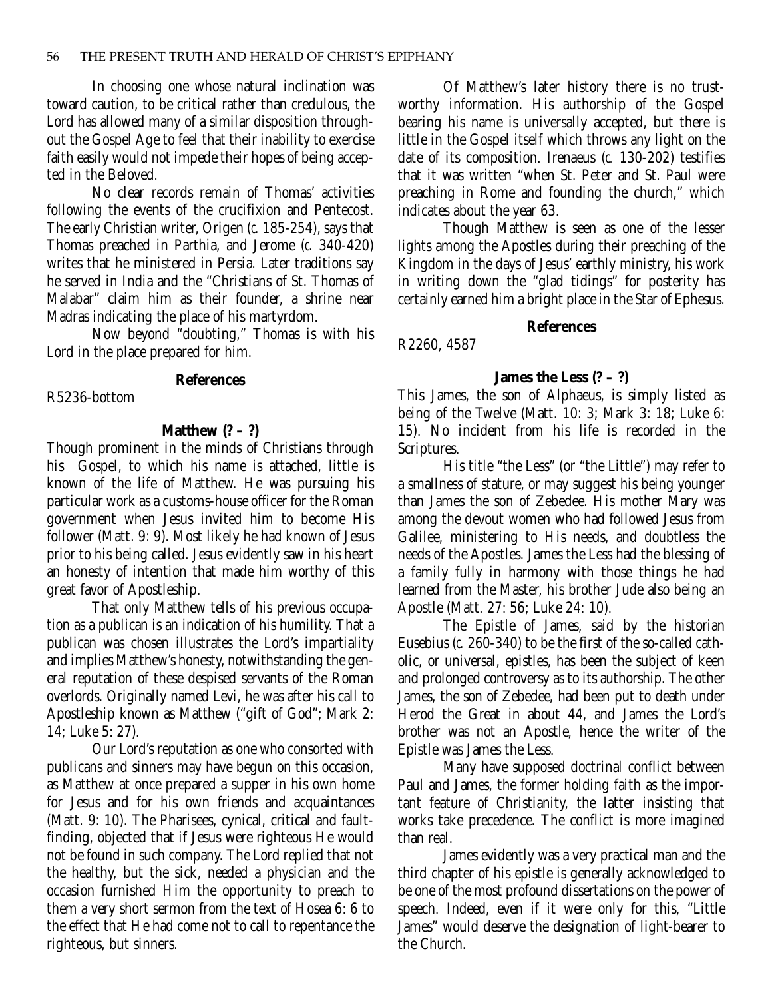In choosing one whose natural inclination was toward caution, to be critical rather than credulous, the Lord has allowed many of a similar disposition throughout the Gospel Age to feel that their inability to exercise faith easily would not impede their hopes of being accepted in the Beloved.

No clear records remain of Thomas' activities following the events of the crucifixion and Pentecost. The early Christian writer, Origen (*c.* 185-254), says that Thomas preached in Parthia, and Jerome (*c.* 340-420) writes that he ministered in Persia. Later traditions say he served in India and the "Christians of St. Thomas of Malabar" claim him as their founder, a shrine near Madras indicating the place of his martyrdom.

Now beyond "doubting," Thomas is with his Lord in the place prepared for him.

## **References**

R5236-bottom

## **Matthew (? – ?)**

Though prominent in the minds of Christians through his Gospel, to which his name is attached, little is known of the life of Matthew. He was pursuing his particular work as a customs-house officer for the Roman government when Jesus invited him to become His follower (Matt. 9: 9). Most likely he had known of Jesus prior to his being called. Jesus evidently saw in his heart an honesty of intention that made him worthy of this great favor of Apostleship.

That only Matthew tells of his previous occupation as a publican is an indication of his humility. That a publican was chosen illustrates the Lord's impartiality and implies Matthew's honesty, notwithstanding the general reputation of these despised servants of the Roman overlords. Originally named Levi, he was after his call to Apostleship known as Matthew ("gift of God"; Mark 2: 14; Luke 5: 27).

Our Lord's reputation as one who consorted with publicans and sinners may have begun on this occasion, as Matthew at once prepared a supper in his own home for Jesus and for his own friends and acquaintances (Matt. 9: 10). The Pharisees, cynical, critical and faultfinding, objected that if Jesus were righteous He would not be found in such company. The Lord replied that not the healthy, but the sick, needed a physician and the occasion furnished Him the opportunity to preach to them a very short sermon from the text of Hosea 6: 6 to the effect that He had come not to call to repentance the righteous, but sinners.

Of Matthew's later history there is no trustworthy information. His authorship of the Gospel bearing his name is universally accepted, but there is little in the Gospel itself which throws any light on the date of its composition. Irenaeus (*c.* 130-202) testifies that it was written "when St. Peter and St. Paul were preaching in Rome and founding the church," which indicates about the year 63.

Though Matthew is seen as one of the lesser lights among the Apostles during their preaching of the Kingdom in the days of Jesus' earthly ministry, his work in writing down the "glad tidings" for posterity has certainly earned him a bright place in the Star of Ephesus.

## **References**

R2260, 4587

## **James the Less (? – ?)**

This James, the son of Alphaeus, is simply listed as being of the Twelve (Matt. 10: 3; Mark 3: 18; Luke 6: 15). No incident from his life is recorded in the Scriptures.

His title "the Less" (or "the Little") may refer to a smallness of stature, or may suggest his being younger than James the son of Zebedee. His mother Mary was among the devout women who had followed Jesus from Galilee, ministering to His needs, and doubtless the needs of the Apostles. James the Less had the blessing of a family fully in harmony with those things he had learned from the Master, his brother Jude also being an Apostle (Matt. 27: 56; Luke 24: 10).

The Epistle of James, said by the historian Eusebius (*c.* 260-340) to be the first of the so-called catholic, or universal, epistles, has been the subject of keen and prolonged controversy as to its authorship. The other James, the son of Zebedee, had been put to death under Herod the Great in about 44, and James the Lord's brother was not an Apostle, hence the writer of the Epistle was James the Less.

Many have supposed doctrinal conflict between Paul and James, the former holding faith as the important feature of Christianity, the latter insisting that works take precedence. The conflict is more imagined than real.

James evidently was a very practical man and the third chapter of his epistle is generally acknowledged to be one of the most profound dissertations on the power of speech. Indeed, even if it were only for this, "Little James" would deserve the designation of light-bearer to the Church.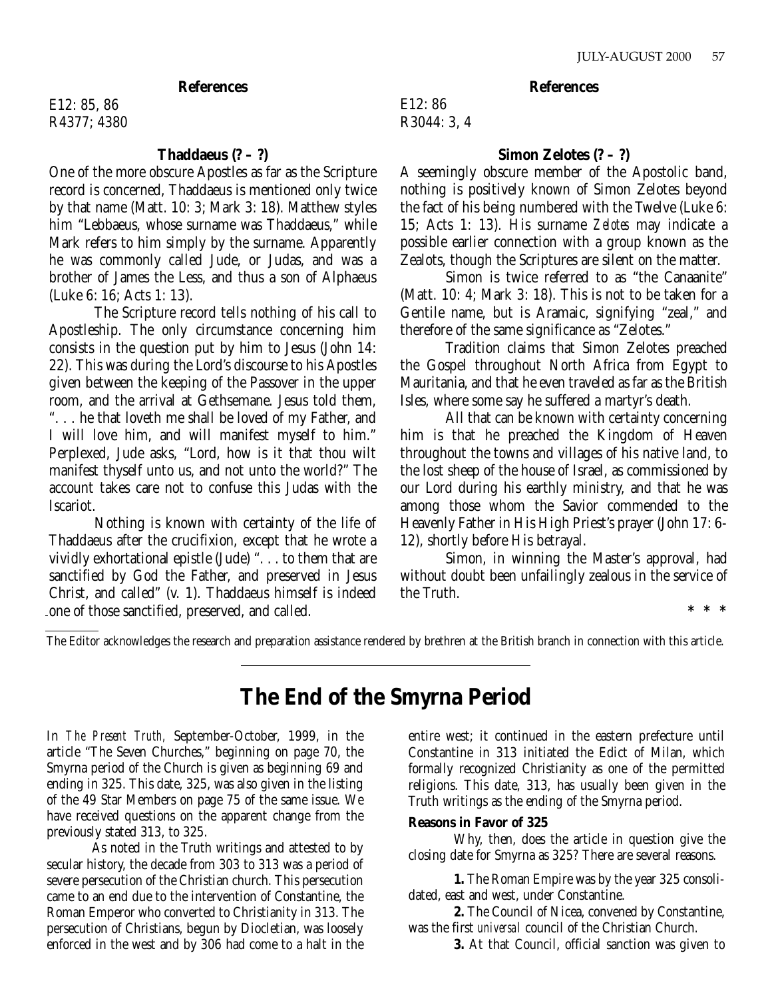E12: 85, 86 R4377; 4380

## **Thaddaeus (? – ?)**

One of the more obscure Apostles as far as the Scripture record is concerned, Thaddaeus is mentioned only twice by that name (Matt. 10: 3; Mark 3: 18). Matthew styles him "Lebbaeus, whose surname was Thaddaeus," while Mark refers to him simply by the surname. Apparently he was commonly called Jude, or Judas, and was a brother of James the Less, and thus a son of Alphaeus (Luke 6: 16; Acts 1: 13).

The Scripture record tells nothing of his call to Apostleship. The only circumstance concerning him consists in the question put by him to Jesus (John 14: 22). This was during the Lord's discourse to his Apostles given between the keeping of the Passover in the upper room, and the arrival at Gethsemane. Jesus told them, ". . . he that loveth me shall be loved of my Father, and I will love him, and will manifest myself to him." Perplexed, Jude asks, "Lord, how is it that thou wilt manifest thyself unto us, and not unto the world?" The account takes care not to confuse this Judas with the Iscariot.

Nothing is known with certainty of the life of Thaddaeus after the crucifixion, except that he wrote a vividly exhortational epistle (Jude) ". . . to them that are sanctified by God the Father, and preserved in Jesus Christ, and called" (v. 1). Thaddaeus himself is indeed one of those sanctified, preserved, and called.

#### **References**

E12: 86 R3044: 3, 4

#### **Simon Zelotes (? – ?)**

A seemingly obscure member of the Apostolic band, nothing is positively known of Simon Zelotes beyond the fact of his being numbered with the Twelve (Luke 6: 15; Acts 1: 13). His surname *Zelotes* may indicate a possible earlier connection with a group known as the Zealots, though the Scriptures are silent on the matter.

Simon is twice referred to as "the Canaanite" (Matt. 10: 4; Mark 3: 18). This is not to be taken for a Gentile name, but is Aramaic, signifying "zeal," and therefore of the same significance as "Zelotes."

Tradition claims that Simon Zelotes preached the Gospel throughout North Africa from Egypt to Mauritania, and that he even traveled as far as the British Isles, where some say he suffered a martyr's death.

All that can be known with certainty concerning him is that he preached the Kingdom of Heaven throughout the towns and villages of his native land, to the lost sheep of the house of Israel, as commissioned by our Lord during his earthly ministry, and that he was among those whom the Savior commended to the Heavenly Father in His High Priest's prayer (John 17: 6- 12), shortly before His betrayal.

Simon, in winning the Master's approval, had without doubt been unfailingly zealous in the service of the Truth.

**\*\*\***

The Editor acknowledges the research and preparation assistance rendered by brethren at the British branch in connection with this article.

# **The End of the Smyrna Period**

In *The Present Truth,* September-October, 1999, in the article "The Seven Churches," beginning on page 70, the Smyrna period of the Church is given as beginning 69 and ending in 325. This date, 325, was also given in the listing of the 49 Star Members on page 75 of the same issue. We have received questions on the apparent change from the previously stated 313, to 325.

As noted in the Truth writings and attested to by secular history, the decade from 303 to 313 was a period of severe persecution of the Christian church. This persecution came to an end due to the intervention of Constantine, the Roman Emperor who converted to Christianity in 313. The persecution of Christians, begun by Diocletian, was loosely enforced in the west and by 306 had come to a halt in the

entire west; it continued in the eastern prefecture until Constantine in 313 initiated the Edict of Milan, which formally recognized Christianity as one of the permitted religions. This date, 313, has usually been given in the Truth writings as the ending of the Smyrna period.

#### **Reasons in Favor of 325**

Why, then, does the article in question give the closing date for Smyrna as 325? There are several reasons.

**1.** The Roman Empire was by the year 325 consolidated, east and west, under Constantine.

**2.** The Council of Nicea, convened by Constantine, was the first *universal* council of the Christian Church.

**3.** At that Council, official sanction was given to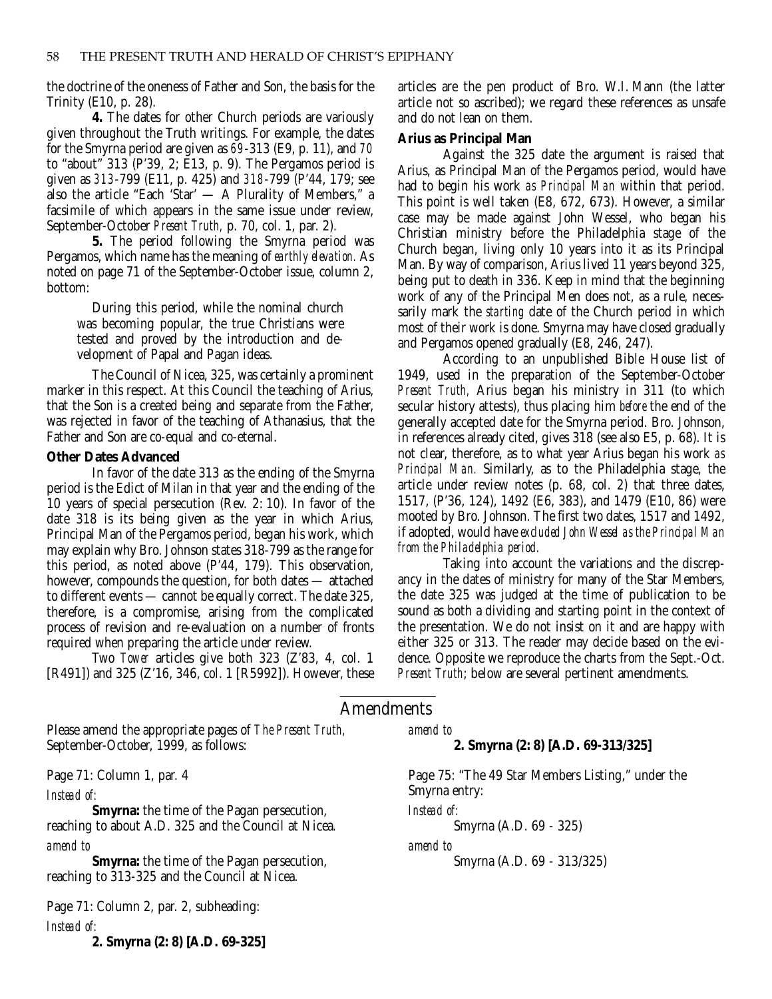the doctrine of the oneness of Father and Son, the basis for the Trinity (E10, p. 28).

**4.** The dates for other Church periods are variously given throughout the Truth writings. For example, the dates for the Smyrna period are given as *69*-313 (E9, p. 11), and *70* to "about" 313 (P'39, 2; E13, p. 9). The Pergamos period is given as *313*-799 (E11, p. 425) and *318*-799 (P'44, 179; see also the article "Each 'Star' — A Plurality of Members," a facsimile of which appears in the same issue under review, September-October *Present Truth,* p. 70, col. 1, par. 2).

**5.** The period following the Smyrna period was Pergamos, which name has the meaning of *earthly elevation.* As noted on page 71 of the September-October issue, column 2, bottom:

During this period, while the nominal church was becoming popular, the true Christians were tested and proved by the introduction and development of Papal and Pagan ideas.

The Council of Nicea, 325, was certainly a prominent marker in this respect. At this Council the teaching of Arius, that the Son is a created being and separate from the Father, was rejected in favor of the teaching of Athanasius, that the Father and Son are co-equal and co-eternal.

#### **Other Dates Advanced**

In favor of the date 313 as the ending of the Smyrna period is the Edict of Milan in that year and the ending of the 10 years of special persecution (Rev. 2: 10). In favor of the date 318 is its being given as the year in which Arius, Principal Man of the Pergamos period, began his work, which may explain why Bro. Johnson states 318-799 as the range for this period, as noted above (P'44, 179). This observation, however, compounds the question, for both dates — attached to different events — cannot be equally correct. The date 325, therefore, is a compromise, arising from the complicated process of revision and re-evaluation on a number of fronts required when preparing the article under review.

Two *Tower* articles give both 323 (Z'83, 4, col. 1 [R491]) and 325 (Z'16, 346, col. 1 [R5992]). However, these articles are the pen product of Bro. W.I. Mann (the latter article not so ascribed); we regard these references as unsafe and do not lean on them.

#### **Arius as Principal Man**

Against the 325 date the argument is raised that Arius, as Principal Man of the Pergamos period, would have had to begin his work *as Principal Man* within that period. This point is well taken (E8, 672, 673). However, a similar case may be made against John Wessel, who began his Christian ministry before the Philadelphia stage of the Church began, living only 10 years into it as its Principal Man. By way of comparison, Arius lived 11 years beyond 325, being put to death in 336. Keep in mind that the beginning work of any of the Principal Men does not, as a rule, necessarily mark the *starting* date of the Church period in which most of their work is done. Smyrna may have closed gradually and Pergamos opened gradually (E8, 246, 247).

According to an unpublished Bible House list of 1949, used in the preparation of the September-October *Present Truth,* Arius began his ministry in 311 (to which secular history attests), thus placing him *before* the end of the generally accepted date for the Smyrna period. Bro. Johnson, in references already cited, gives 318 (see also E5, p. 68). It is not clear, therefore, as to what year Arius began his work *as Principal Man.* Similarly, as to the Philadelphia stage, the article under review notes (p. 68, col. 2) that three dates, 1517, (P'36, 124), 1492 (E6, 383), and 1479 (E10, 86) were mooted by Bro. Johnson. The first two dates, 1517 and 1492, if adopted, would have *excluded John Wessel as the Principal Man from the Philadelphia period.* 

Taking into account the variations and the discrepancy in the dates of ministry for many of the Star Members, the date 325 was judged at the time of publication to be sound as both a dividing and starting point in the context of the presentation. We do not insist on it and are happy with either 325 or 313. The reader may decide based on the evidence. Opposite we reproduce the charts from the Sept.-Oct. *Present Truth*; below are several pertinent amendments.

## Amendments

Please amend the appropriate pages of *The Present Truth,* September-October, 1999, as follows:

Page 71: Column 1, par. 4

*Instead of:*

**Smyrna:** the time of the Pagan persecution, reaching to about A.D. 325 and the Council at Nicea. *amend to*

**Smyrna:** the time of the Pagan persecution, reaching to 313-325 and the Council at Nicea.

Page 71: Column 2, par. 2, subheading:

#### *Instead of:*

**2. Smyrna (2: 8) [A.D. 69-325]**

*amend to*

#### **2. Smyrna (2: 8) [A.D. 69-313/325]**

Page 75: "The 49 Star Members Listing," under the Smyrna entry:

*Instead of:*

Smyrna (A.D. 69 - 325)

*amend to*

Smyrna (A.D. 69 - 313/325)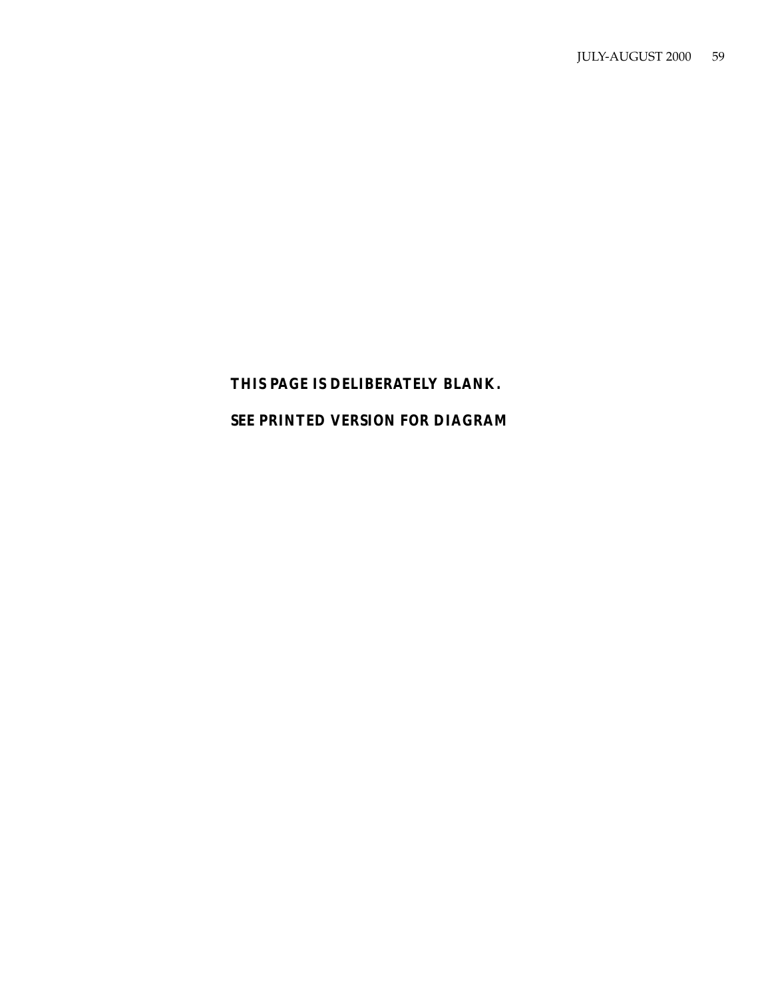# **THIS PAGE IS DELIBERATELY BLANK. SEE PRINTED VERSION FOR DIAGRAM**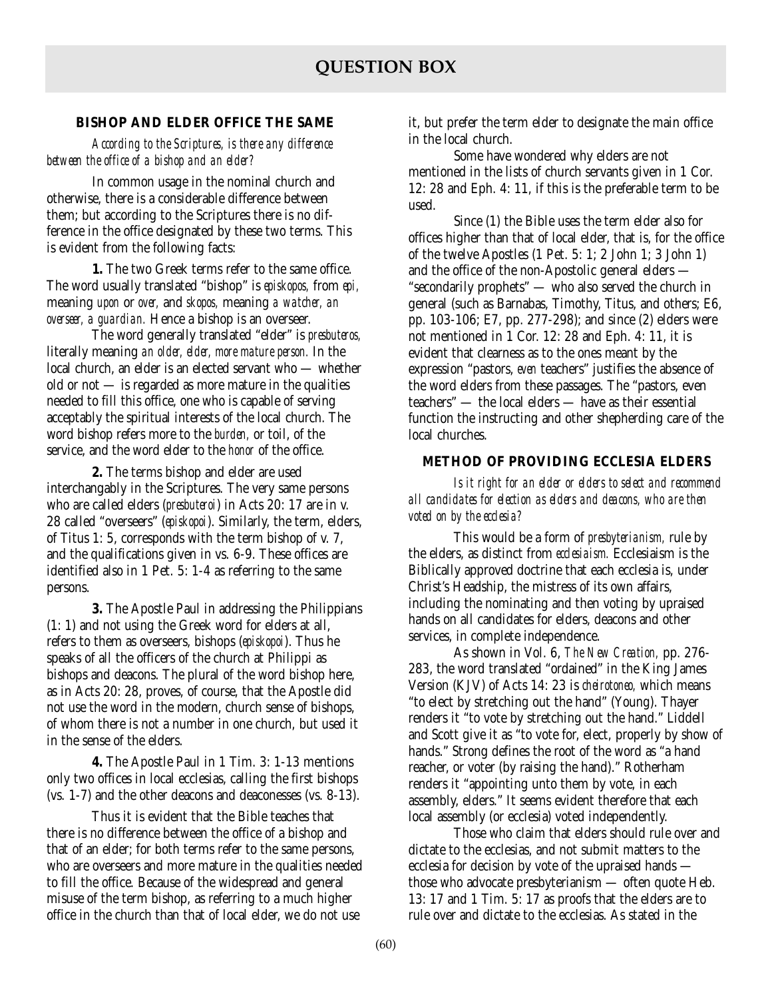## **BISHOP AND ELDER OFFICE THE SAME**

*According to the Scriptures, is there any difference between the office of a bishop and an elder?*

In common usage in the nominal church and otherwise, there is a considerable difference between them; but according to the Scriptures there is no difference in the office designated by these two terms. This is evident from the following facts:

**1.** The two Greek terms refer to the same office. The word usually translated "bishop" is *episkopos,* from *epi,* meaning *upon* or *over,* and *skopos,* meaning *a watcher, an overseer, a guardian.* Hence a bishop is an overseer.

The word generally translated "elder" is *presbuteros,* literally meaning *an older, elder, more mature person.* In the local church, an elder is an elected servant who — whether old or not  $-$  is regarded as more mature in the qualities needed to fill this office, one who is capable of serving acceptably the spiritual interests of the local church. The word bishop refers more to the *burden,* or toil, of the service, and the word elder to the *honor* of the office.

**2.** The terms bishop and elder are used interchangably in the Scriptures. The very same persons who are called elders (*presbuteroi*) in Acts 20: 17 are in v. 28 called "overseers" (*episkopoi*). Similarly, the term, elders, of Titus 1: 5, corresponds with the term bishop of v. 7, and the qualifications given in vs. 6-9. These offices are identified also in 1 Pet. 5: 1-4 as referring to the same persons.

**3.** The Apostle Paul in addressing the Philippians (1: 1) and not using the Greek word for elders at all, refers to them as overseers, bishops (*episkopoi*). Thus he speaks of all the officers of the church at Philippi as bishops and deacons. The plural of the word bishop here, as in Acts 20: 28, proves, of course, that the Apostle did not use the word in the modern, church sense of bishops, of whom there is not a number in one church, but used it in the sense of the elders.

**4.** The Apostle Paul in 1 Tim. 3: 1-13 mentions only two offices in local ecclesias, calling the first bishops (vs. 1-7) and the other deacons and deaconesses (vs. 8-13).

Thus it is evident that the Bible teaches that there is no difference between the office of a bishop and that of an elder; for both terms refer to the same persons, who are overseers and more mature in the qualities needed to fill the office. Because of the widespread and general misuse of the term bishop, as referring to a much higher office in the church than that of local elder, we do not use

it, but prefer the term elder to designate the main office in the local church.

Some have wondered why elders are not mentioned in the lists of church servants given in 1 Cor. 12: 28 and Eph. 4: 11, if this is the preferable term to be used.

Since (1) the Bible uses the term elder also for offices higher than that of local elder, that is, for the office of the twelve Apostles (1 Pet. 5: 1; 2 John 1; 3 John 1) and the office of the non-Apostolic general elders — "secondarily prophets" — who also served the church in general (such as Barnabas, Timothy, Titus, and others; E6, pp. 103-106; E7, pp. 277-298); and since (2) elders were not mentioned in 1 Cor. 12: 28 and Eph. 4: 11, it is evident that clearness as to the ones meant by the expression "pastors, *even* teachers" justifies the absence of the word elders from these passages. The "pastors, even teachers" — the local elders — have as their essential function the instructing and other shepherding care of the local churches.

#### **METHOD OF PROVIDING ECCLESIA ELDERS**

*Is it right for an elder or elders to select and recommend all candidates for election as elders and deacons, who are then voted on by the ecclesia?*

This would be a form of *presbyterianism,* rule by the elders, as distinct from *ecclesiaism.* Ecclesiaism is the Biblically approved doctrine that each ecclesia is, under Christ's Headship, the mistress of its own affairs, including the nominating and then voting by upraised hands on all candidates for elders, deacons and other services, in complete independence.

As shown in Vol. 6, *The New Creation,* pp. 276- 283, the word translated "ordained" in the King James Version (KJV) of Acts 14: 23 is *cheirotoneo,* which means "to elect by stretching out the hand" (Young). Thayer renders it "to vote by stretching out the hand." Liddell and Scott give it as "to vote for, elect, properly by show of hands." Strong defines the root of the word as "a hand reacher, or voter (by raising the hand)." Rotherham renders it "appointing unto them by vote, in each assembly, elders." It seems evident therefore that each local assembly (or ecclesia) voted independently.

Those who claim that elders should rule over and dictate to the ecclesias, and not submit matters to the ecclesia for decision by vote of the upraised hands those who advocate presbyterianism — often quote Heb. 13: 17 and 1 Tim. 5: 17 as proofs that the elders are to rule over and dictate to the ecclesias. As stated in the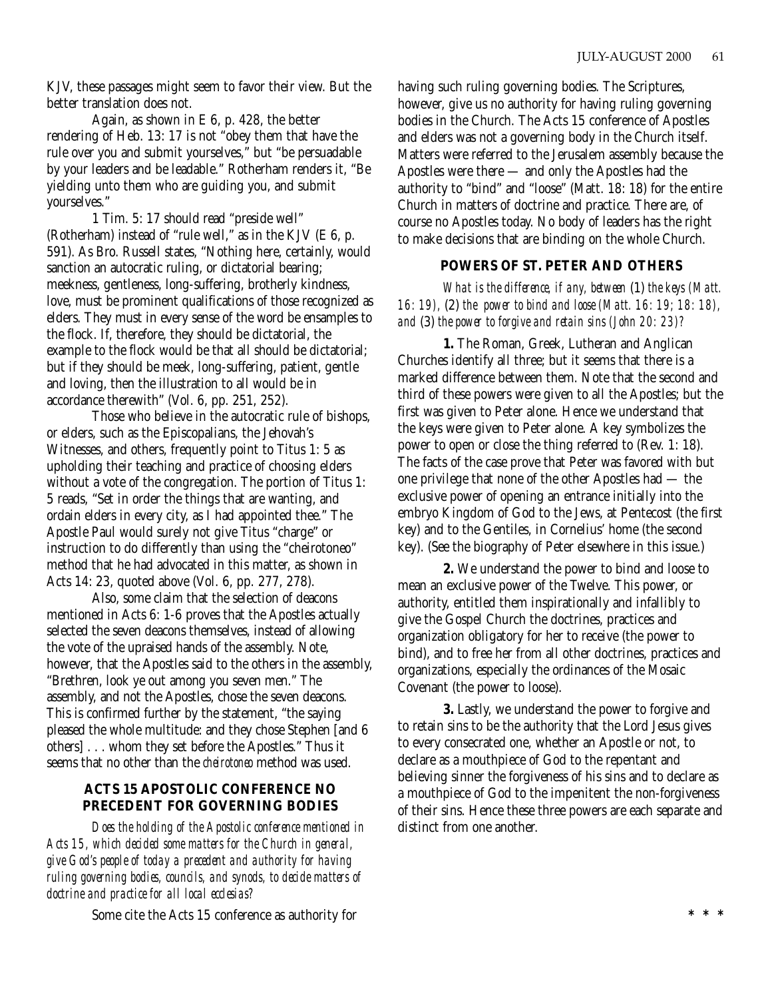KJV, these passages might seem to favor their view. But the better translation does not.

Again, as shown in E 6, p. 428, the better rendering of Heb. 13: 17 is not "obey them that have the rule over you and submit yourselves," but "be persuadable by your leaders and be leadable." Rotherham renders it, "Be yielding unto them who are guiding you, and submit yourselves."

1 Tim. 5: 17 should read "preside well" (Rotherham) instead of "rule well," as in the KJV (E 6, p. 591). As Bro. Russell states, "Nothing here, certainly, would sanction an autocratic ruling, or dictatorial bearing; meekness, gentleness, long-suffering, brotherly kindness, love, must be prominent qualifications of those recognized as elders. They must in every sense of the word be ensamples to the flock. If, therefore, they should be dictatorial, the example to the flock would be that all should be dictatorial; but if they should be meek, long-suffering, patient, gentle and loving, then the illustration to all would be in accordance therewith" (Vol. 6, pp. 251, 252).

Those who believe in the autocratic rule of bishops, or elders, such as the Episcopalians, the Jehovah's Witnesses, and others, frequently point to Titus 1: 5 as upholding their teaching and practice of choosing elders without a vote of the congregation. The portion of Titus 1: 5 reads, "Set in order the things that are wanting, and ordain elders in every city, as I had appointed thee." The Apostle Paul would surely not give Titus "charge" or instruction to do differently than using the "cheirotoneo" method that he had advocated in this matter, as shown in Acts 14: 23, quoted above (Vol. 6, pp. 277, 278).

Also, some claim that the selection of deacons mentioned in Acts 6: 1-6 proves that the Apostles actually selected the seven deacons themselves, instead of allowing the vote of the upraised hands of the assembly. Note, however, that the Apostles said to the others in the assembly, "Brethren, look ye out among you seven men." The assembly, and not the Apostles, chose the seven deacons. This is confirmed further by the statement, "the saying pleased the whole multitude: and they chose Stephen [and 6 others] . . . whom they set before the Apostles." Thus it seems that no other than the *cheirotoneo* method was used.

#### **ACTS 15 APOSTOLIC CONFERENCE NO PRECEDENT FOR GOVERNING BODIES**

*Does the holding of the Apostolic conference mentioned in Acts 15, which decided some matters for the Church in general, give God's people of today a precedent and authority for having ruling governing bodies, councils, and synods, to decide matters of doctrine and practice for all local ecclesias?*

Some cite the Acts 15 conference as authority for

having such ruling governing bodies. The Scriptures, however, give us no authority for having ruling governing bodies in the Church. The Acts 15 conference of Apostles and elders was not a governing body in the Church itself. Matters were referred to the Jerusalem assembly because the Apostles were there — and only the Apostles had the authority to "bind" and "loose" (Matt. 18: 18) for the entire Church in matters of doctrine and practice. There are, of course no Apostles today. No body of leaders has the right to make decisions that are binding on the whole Church.

#### **POWERS OF ST. PETER AND OTHERS**

*What is the difference, if any, between* (1) *the keys (Matt. 16: 19),* (2) *the power to bind and loose (Matt. 16: 19; 18: 18), and* (3) *the power to forgive and retain sins (John 20: 23)?*

**1.** The Roman, Greek, Lutheran and Anglican Churches identify all three; but it seems that there is a marked difference between them. Note that the second and third of these powers were given to all the Apostles; but the first was given to Peter alone. Hence we understand that the keys were given to Peter alone. A key symbolizes the power to open or close the thing referred to (Rev. 1: 18). The facts of the case prove that Peter was favored with but one privilege that none of the other Apostles had — the exclusive power of opening an entrance initially into the embryo Kingdom of God to the Jews, at Pentecost (the first key) and to the Gentiles, in Cornelius' home (the second key). (See the biography of Peter elsewhere in this issue.)

**2.** We understand the power to bind and loose to mean an exclusive power of the Twelve. This power, or authority, entitled them inspirationally and infallibly to give the Gospel Church the doctrines, practices and organization obligatory for her to receive (the power to bind), and to free her from all other doctrines, practices and organizations, especially the ordinances of the Mosaic Covenant (the power to loose).

**3.** Lastly, we understand the power to forgive and to retain sins to be the authority that the Lord Jesus gives to every consecrated one, whether an Apostle or not, to declare as a mouthpiece of God to the repentant and believing sinner the forgiveness of his sins and to declare as a mouthpiece of God to the impenitent the non-forgiveness of their sins. Hence these three powers are each separate and distinct from one another.

**\*\*\***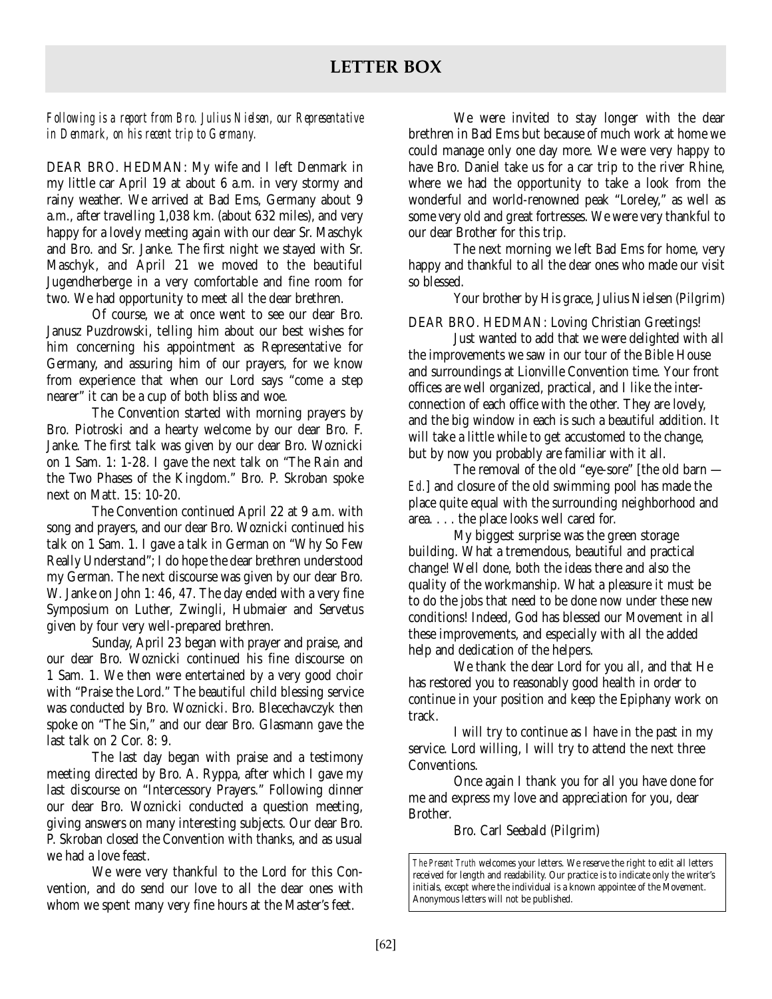## **LETTER BOX**

*Following is a report from Bro. Julius Nielsen, our Representative in Denmark, on his recent trip to Germany.*

DEAR BRO. HEDMAN: My wife and I left Denmark in my little car April 19 at about 6 a.m. in very stormy and rainy weather. We arrived at Bad Ems, Germany about 9 a.m., after travelling 1,038 km. (about 632 miles), and very happy for a lovely meeting again with our dear Sr. Maschyk and Bro. and Sr. Janke. The first night we stayed with Sr. Maschyk, and April 21 we moved to the beautiful Jugendherberge in a very comfortable and fine room for two. We had opportunity to meet all the dear brethren.

Of course, we at once went to see our dear Bro. Janusz Puzdrowski, telling him about our best wishes for him concerning his appointment as Representative for Germany, and assuring him of our prayers, for we know from experience that when our Lord says "come a step nearer" it can be a cup of both bliss and woe.

The Convention started with morning prayers by Bro. Piotroski and a hearty welcome by our dear Bro. F. Janke. The first talk was given by our dear Bro. Woznicki on 1 Sam. 1: 1-28. I gave the next talk on "The Rain and the Two Phases of the Kingdom." Bro. P. Skroban spoke next on Matt. 15: 10-20.

The Convention continued April 22 at 9 a.m. with song and prayers, and our dear Bro. Woznicki continued his talk on 1 Sam. 1. I gave a talk in German on "Why So Few Really Understand"; I do hope the dear brethren understood my German. The next discourse was given by our dear Bro. W. Janke on John 1: 46, 47. The day ended with a very fine Symposium on Luther, Zwingli, Hubmaier and Servetus given by four very well-prepared brethren.

Sunday, April 23 began with prayer and praise, and our dear Bro. Woznicki continued his fine discourse on 1 Sam. 1. We then were entertained by a very good choir with "Praise the Lord." The beautiful child blessing service was conducted by Bro. Woznicki. Bro. Blecechavczyk then spoke on "The Sin," and our dear Bro. Glasmann gave the last talk on 2 Cor. 8: 9.

The last day began with praise and a testimony meeting directed by Bro. A. Ryppa, after which I gave my last discourse on "Intercessory Prayers." Following dinner our dear Bro. Woznicki conducted a question meeting, giving answers on many interesting subjects. Our dear Bro. P. Skroban closed the Convention with thanks, and as usual we had a love feast.

We were very thankful to the Lord for this Convention, and do send our love to all the dear ones with whom we spent many very fine hours at the Master's feet.

We were invited to stay longer with the dear brethren in Bad Ems but because of much work at home we could manage only one day more. We were very happy to have Bro. Daniel take us for a car trip to the river Rhine, where we had the opportunity to take a look from the wonderful and world-renowned peak "Loreley," as well as some very old and great fortresses. We were very thankful to our dear Brother for this trip.

The next morning we left Bad Ems for home, very happy and thankful to all the dear ones who made our visit so blessed.

Your brother by His grace, Julius Nielsen (Pilgrim)

DEAR BRO. HEDMAN: Loving Christian Greetings!

Just wanted to add that we were delighted with all the improvements we saw in our tour of the Bible House and surroundings at Lionville Convention time. Your front offices are well organized, practical, and I like the interconnection of each office with the other. They are lovely, and the big window in each is such a beautiful addition. It will take a little while to get accustomed to the change, but by now you probably are familiar with it all.

The removal of the old "eye-sore" [the old barn — *Ed.*] and closure of the old swimming pool has made the place quite equal with the surrounding neighborhood and area. . . . the place looks well cared for.

My biggest surprise was the green storage building. What a tremendous, beautiful and practical change! Well done, both the ideas there and also the quality of the workmanship. What a pleasure it must be to do the jobs that need to be done now under these new conditions! Indeed, God has blessed our Movement in all these improvements, and especially with all the added help and dedication of the helpers.

We thank the dear Lord for you all, and that He has restored you to reasonably good health in order to continue in your position and keep the Epiphany work on track.

I will try to continue as I have in the past in my service. Lord willing, I will try to attend the next three Conventions.

Once again I thank you for all you have done for me and express my love and appreciation for you, dear Brother.

Bro. Carl Seebald (Pilgrim)

*The Present Truth* welcomes your letters. We reserve the right to edit all letters received for length and readability. Our practice is to indicate only the writer's initials, except where the individual is a known appointee of the Movement. Anonymous letters will not be published.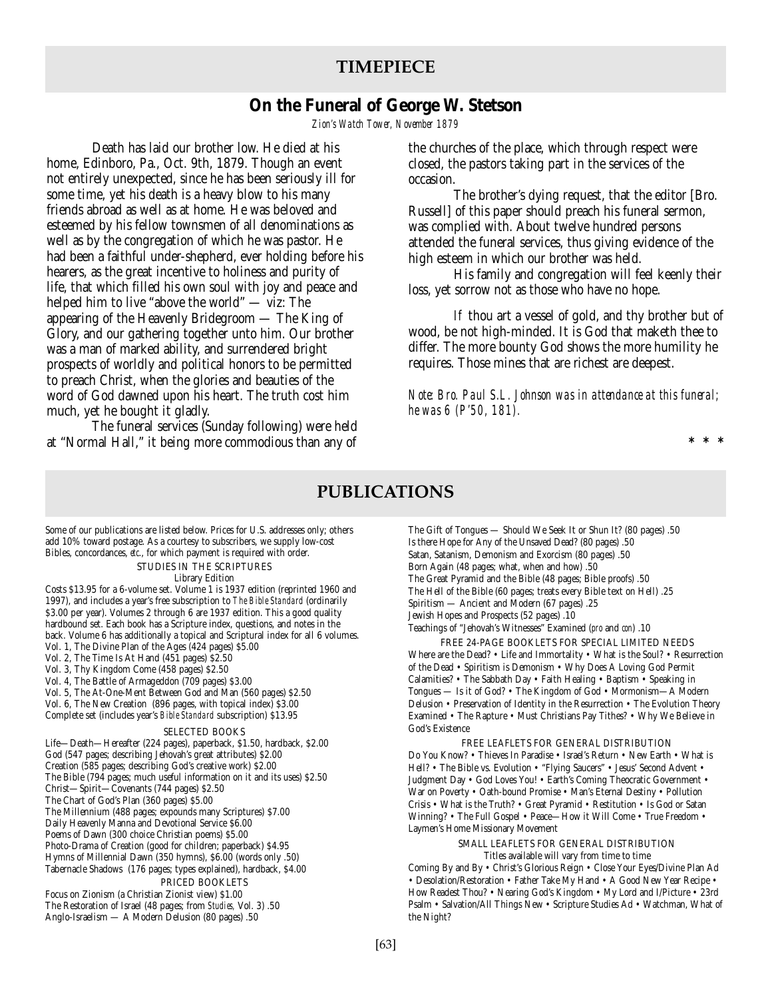## **TIMEPIECE**

# **On the Funeral of George W. Stetson**

*Zion's Watch Tower, November 1879*

Death has laid our brother low. He died at his home, Edinboro, Pa., Oct. 9th, 1879. Though an event not entirely unexpected, since he has been seriously ill for some time, yet his death is a heavy blow to his many friends abroad as well as at home. He was beloved and esteemed by his fellow townsmen of all denominations as well as by the congregation of which he was pastor. He had been a faithful under-shepherd, ever holding before his hearers, as the great incentive to holiness and purity of life, that which filled his own soul with joy and peace and helped him to live "above the world" — viz: The appearing of the Heavenly Bridegroom — The King of Glory, and our gathering together unto him. Our brother was a man of marked ability, and surrendered bright prospects of worldly and political honors to be permitted to preach Christ, when the glories and beauties of the word of God dawned upon his heart. The truth cost him much, yet he bought it gladly.

The funeral services (Sunday following) were held at "Normal Hall," it being more commodious than any of

the churches of the place, which through respect were closed, the pastors taking part in the services of the occasion.

The brother's dying request, that the editor [Bro. Russell] of this paper should preach his funeral sermon, was complied with. About twelve hundred persons attended the funeral services, thus giving evidence of the high esteem in which our brother was held.

His family and congregation will feel keenly their loss, yet sorrow not as those who have no hope.

If thou art a vessel of gold, and thy brother but of wood, be not high-minded. It is God that maketh thee to differ. The more bounty God shows the more humility he requires. Those mines that are richest are deepest.

*Note: Bro. Paul S.L. Johnson was in attendance at this funeral; he was 6 (P'50, 181).*

**\*\*\***

## **PUBLICATIONS**

Some of our publications are listed below. Prices for U.S. addresses only; others add 10% toward postage. As a courtesy to subscribers, we supply low-cost Bibles, concordances, *etc*., for which payment is required with order.

## STUDIES IN THE SCRIPTURES

Library Edition

Costs \$13.95 for a 6-volume set. Volume 1 is 1937 edition (reprinted 1960 and 1997), and includes a year's free subscription to *The Bible Standard* (ordinarily \$3.00 per year). Volumes 2 through 6 are 1937 edition. This a good quality hardbound set. Each book has a Scripture index, questions, and notes in the back. Volume 6 has additionally a topical and Scriptural index for all 6 volumes. Vol. 1, The Divine Plan of the Ages (424 pages) \$5.00 Vol. 2, The Time Is At Hand (451 pages) \$2.50 Vol. 3, Thy Kingdom Come (458 pages) \$2.50 Vol. 4, The Battle of Armageddon (709 pages) \$3.00

Vol. 5, The At-One-Ment Between God and Man (560 pages) \$2.50

Vol. 6, The New Creation (896 pages, with topical index) \$3.00 Complete set (includes year's *Bible Standard* subscription) \$13.95

#### SELECTED BOOKS

Life—Death—Hereafter (224 pages), paperback, \$1.50, hardback, \$2.00 God (547 pages; describing Jehovah's great attributes) \$2.00 Creation (585 pages; describing God's creative work) \$2.00 The Bible (794 pages; much useful information on it and its uses) \$2.50 Christ—Spirit—Covenants (744 pages) \$2.50 The Chart of God's Plan (360 pages) \$5.00 The Millennium (488 pages; expounds many Scriptures) \$7.00 Daily Heavenly Manna and Devotional Service \$6.00 Poems of Dawn (300 choice Christian poems) \$5.00 Photo-Drama of Creation (good for children; paperback) \$4.95 Hymns of Millennial Dawn (350 hymns), \$6.00 (words only .50) Tabernacle Shadows (176 pages; types explained), hardback, \$4.00 PRICED BOOKLETS Focus on Zionism (a Christian Zionist view) \$1.00

The Restoration of Israel (48 pages; from *Studies,* Vol. 3) .50 Anglo-Israelism — A Modern Delusion (80 pages) .50

The Gift of Tongues — Should We Seek It or Shun It? (80 pages) .50 Is there Hope for Any of the Unsaved Dead? (80 pages) .50 Satan, Satanism, Demonism and Exorcism (80 pages) .50 Born Again (48 pages; what, when and how) .50 The Great Pyramid and the Bible (48 pages; Bible proofs) .50 The Hell of the Bible (60 pages; treats every Bible text on Hell) .25 Spiritism — Ancient and Modern (67 pages) .25 Jewish Hopes and Prospects (52 pages) .10 Teachings of "Jehovah's Witnesses" Examined (*pro* and *con*) .10

FREE 24-PAGE BOOKLETS FOR SPECIAL LIMITED NEEDS Where are the Dead? • Life and Immortality • What is the Soul? • Resurrection of the Dead • Spiritism is Demonism • Why Does A Loving God Permit Calamities? • The Sabbath Day • Faith Healing • Baptism • Speaking in Tongues — Is it of God? • The Kingdom of God • Mormonism—A Modern Delusion • Preservation of Identity in the Resurrection • The Evolution Theory Examined • The Rapture • Must Christians Pay Tithes? • Why We Believe in God's Existence

FREE LEAFLETS FOR GENERAL DISTRIBUTION Do You Know? • Thieves In Paradise • Israel's Return • New Earth • What is Hell? • The Bible vs. Evolution • "Flying Saucers" • Jesus' Second Advent • Judgment Day • God Loves You! • Earth's Coming Theocratic Government • War on Poverty • Oath-bound Promise • Man's Eternal Destiny • Pollution Crisis • What is the Truth? • Great Pyramid • Restitution • Is God or Satan Winning? • The Full Gospel • Peace—How it Will Come • True Freedom • Laymen's Home Missionary Movement

> SMALL LEAFLETS FOR GENERAL DISTRIBUTION Titles available will vary from time to time

Coming By and By • Christ's Glorious Reign • Close Your Eyes/Divine Plan Ad • Desolation/Restoration • Father Take My Hand • A Good New Year Recipe • How Readest Thou? • Nearing God's Kingdom • My Lord and I/Picture • 23rd Psalm • Salvation/All Things New • Scripture Studies Ad • Watchman, What of the Night?